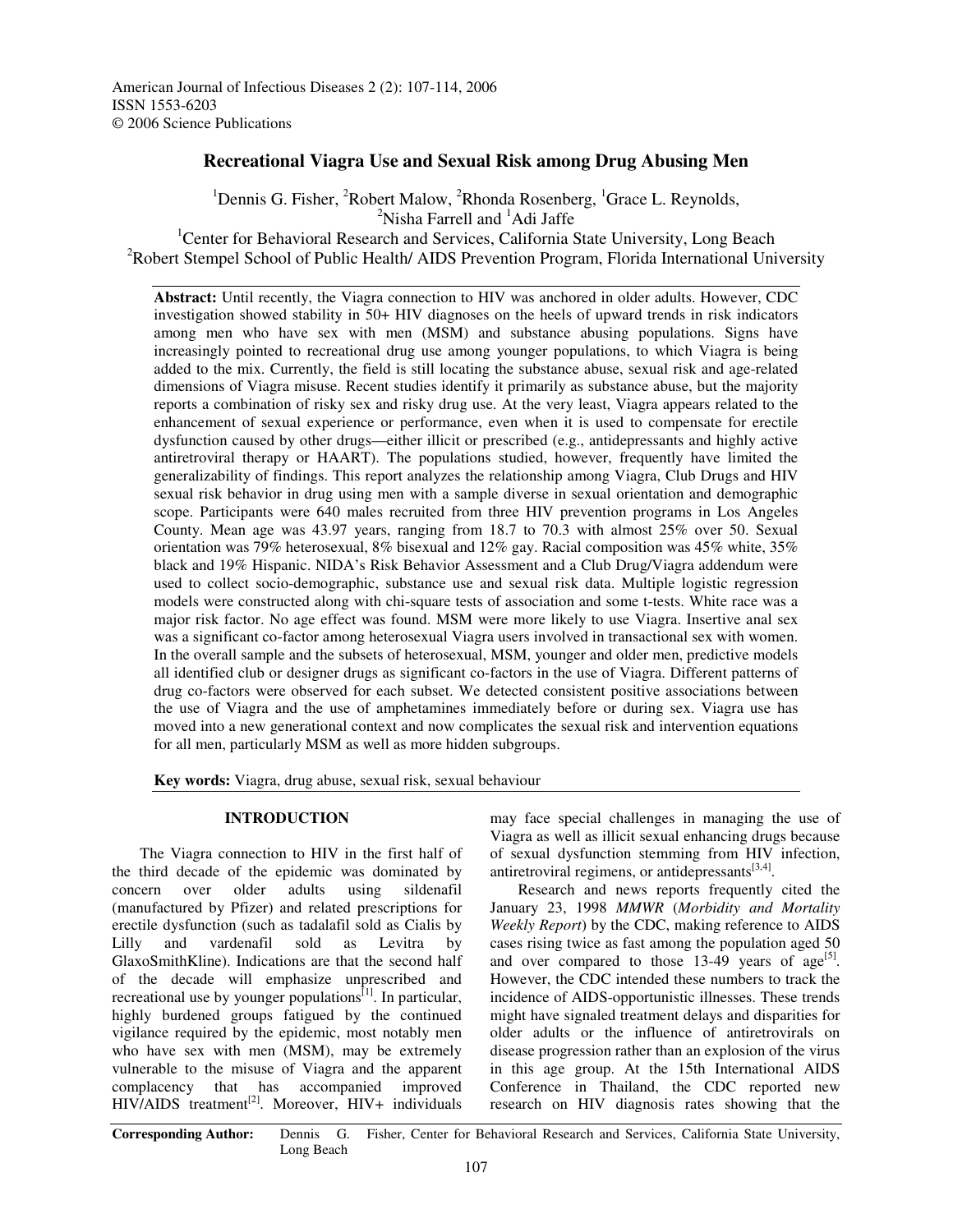American Journal of Infectious Diseases 2 (2): 107-114, 2006 ISSN 1553-6203 © 2006 Science Publications

# **Recreational Viagra Use and Sexual Risk among Drug Abusing Men**

<sup>1</sup>Dennis G. Fisher, <sup>2</sup>Robert Malow, <sup>2</sup>Rhonda Rosenberg, <sup>1</sup>Grace L. Reynolds, <sup>2</sup>Nisha Farrell and <sup>1</sup>Adi Jaffe <sup>1</sup>Center for Behavioral Research and Services, California State University, Long Beach <sup>2</sup>Robert Stempel School of Public Health/ AIDS Prevention Program, Florida International University

**Abstract:** Until recently, the Viagra connection to HIV was anchored in older adults. However, CDC investigation showed stability in 50+ HIV diagnoses on the heels of upward trends in risk indicators among men who have sex with men (MSM) and substance abusing populations. Signs have increasingly pointed to recreational drug use among younger populations, to which Viagra is being added to the mix. Currently, the field is still locating the substance abuse, sexual risk and age-related dimensions of Viagra misuse. Recent studies identify it primarily as substance abuse, but the majority reports a combination of risky sex and risky drug use. At the very least, Viagra appears related to the enhancement of sexual experience or performance, even when it is used to compensate for erectile dysfunction caused by other drugs—either illicit or prescribed (e.g., antidepressants and highly active antiretroviral therapy or HAART). The populations studied, however, frequently have limited the generalizability of findings. This report analyzes the relationship among Viagra, Club Drugs and HIV sexual risk behavior in drug using men with a sample diverse in sexual orientation and demographic scope. Participants were 640 males recruited from three HIV prevention programs in Los Angeles County. Mean age was 43.97 years, ranging from 18.7 to 70.3 with almost 25% over 50. Sexual orientation was 79% heterosexual, 8% bisexual and 12% gay. Racial composition was 45% white, 35% black and 19% Hispanic. NIDA's Risk Behavior Assessment and a Club Drug/Viagra addendum were used to collect socio-demographic, substance use and sexual risk data. Multiple logistic regression models were constructed along with chi-square tests of association and some t-tests. White race was a major risk factor. No age effect was found. MSM were more likely to use Viagra. Insertive anal sex was a significant co-factor among heterosexual Viagra users involved in transactional sex with women. In the overall sample and the subsets of heterosexual, MSM, younger and older men, predictive models all identified club or designer drugs as significant co-factors in the use of Viagra. Different patterns of drug co-factors were observed for each subset. We detected consistent positive associations between the use of Viagra and the use of amphetamines immediately before or during sex. Viagra use has moved into a new generational context and now complicates the sexual risk and intervention equations for all men, particularly MSM as well as more hidden subgroups.

**Key words:** Viagra, drug abuse, sexual risk, sexual behaviour

### **INTRODUCTION**

The Viagra connection to HIV in the first half of the third decade of the epidemic was dominated by concern over older adults using sildenafil (manufactured by Pfizer) and related prescriptions for erectile dysfunction (such as tadalafil sold as Cialis by Lilly and vardenafil sold as Levitra by GlaxoSmithKline). Indications are that the second half of the decade will emphasize unprescribed and recreational use by younger populations<sup>[1]</sup>. In particular, highly burdened groups fatigued by the continued vigilance required by the epidemic, most notably men who have sex with men (MSM), may be extremely vulnerable to the misuse of Viagra and the apparent complacency that has accompanied improved HIV/AIDS treatment<sup>[2]</sup>. Moreover, HIV+ individuals

may face special challenges in managing the use of Viagra as well as illicit sexual enhancing drugs because of sexual dysfunction stemming from HIV infection, antiretroviral regimens, or antidepressants<sup>[3,4]</sup>.

Research and news reports frequently cited the January 23, 1998 *MMWR* (*Morbidity and Mortality Weekly Report*) by the CDC, making reference to AIDS cases rising twice as fast among the population aged 50 and over compared to those  $13-49$  years of  $age^{[5]}$ . However, the CDC intended these numbers to track the incidence of AIDS-opportunistic illnesses. These trends might have signaled treatment delays and disparities for older adults or the influence of antiretrovirals on disease progression rather than an explosion of the virus in this age group. At the 15th International AIDS Conference in Thailand, the CDC reported new research on HIV diagnosis rates showing that the

**Corresponding Author:** Dennis G. Fisher, Center for Behavioral Research and Services, California State University, Long Beach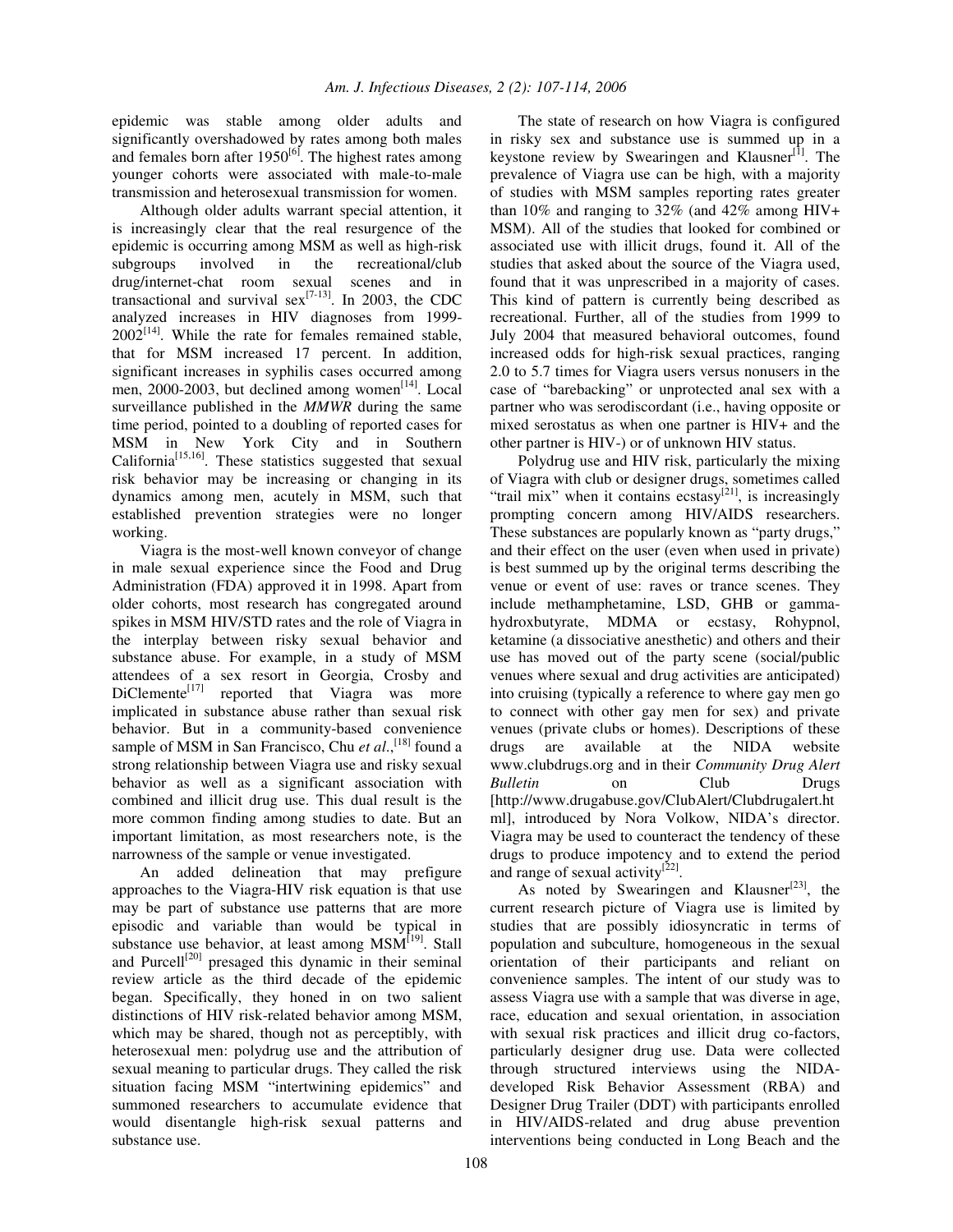epidemic was stable among older adults and significantly overshadowed by rates among both males and females born after  $1950^{[6]}$ . The highest rates among younger cohorts were associated with male-to-male transmission and heterosexual transmission for women.

Although older adults warrant special attention, it is increasingly clear that the real resurgence of the epidemic is occurring among MSM as well as high-risk subgroups involved in the recreational/club drug/internet-chat room sexual scenes and in transactional and survival  $sex^{[7-13]}$ . In 2003, the CDC analyzed increases in HIV diagnoses from 1999-  $2002^{[14]}$ . While the rate for females remained stable, that for MSM increased 17 percent. In addition, significant increases in syphilis cases occurred among men, 2000-2003, but declined among women<sup>[14]</sup>. Local surveillance published in the *MMWR* during the same time period, pointed to a doubling of reported cases for MSM in New York City and in Southern California<sup>[15,16]</sup>. These statistics suggested that sexual risk behavior may be increasing or changing in its dynamics among men, acutely in MSM, such that established prevention strategies were no longer working.

Viagra is the most-well known conveyor of change in male sexual experience since the Food and Drug Administration (FDA) approved it in 1998. Apart from older cohorts, most research has congregated around spikes in MSM HIV/STD rates and the role of Viagra in the interplay between risky sexual behavior and substance abuse. For example, in a study of MSM attendees of a sex resort in Georgia, Crosby and DiClemente<sup>[17]</sup> reported that Viagra was more implicated in substance abuse rather than sexual risk behavior. But in a community-based convenience sample of MSM in San Francisco, Chu et al.,<sup>[18]</sup> found a strong relationship between Viagra use and risky sexual behavior as well as a significant association with combined and illicit drug use. This dual result is the more common finding among studies to date. But an important limitation, as most researchers note, is the narrowness of the sample or venue investigated.

An added delineation that may prefigure approaches to the Viagra-HIV risk equation is that use may be part of substance use patterns that are more episodic and variable than would be typical in substance use behavior, at least among  $\text{MSM}^{[19]}$ . Stall and Purcell<sup>[20]</sup> presaged this dynamic in their seminal review article as the third decade of the epidemic began. Specifically, they honed in on two salient distinctions of HIV risk-related behavior among MSM, which may be shared, though not as perceptibly, with heterosexual men: polydrug use and the attribution of sexual meaning to particular drugs. They called the risk situation facing MSM "intertwining epidemics" and summoned researchers to accumulate evidence that would disentangle high-risk sexual patterns and substance use.

The state of research on how Viagra is configured in risky sex and substance use is summed up in a keystone review by Swearingen and Klausner<sup>[1]</sup>. The prevalence of Viagra use can be high, with a majority of studies with MSM samples reporting rates greater than 10% and ranging to 32% (and 42% among HIV+ MSM). All of the studies that looked for combined or associated use with illicit drugs, found it. All of the studies that asked about the source of the Viagra used, found that it was unprescribed in a majority of cases. This kind of pattern is currently being described as recreational. Further, all of the studies from 1999 to July 2004 that measured behavioral outcomes, found increased odds for high-risk sexual practices, ranging 2.0 to 5.7 times for Viagra users versus nonusers in the case of "barebacking" or unprotected anal sex with a partner who was serodiscordant (i.e., having opposite or mixed serostatus as when one partner is HIV+ and the other partner is HIV-) or of unknown HIV status.

Polydrug use and HIV risk, particularly the mixing of Viagra with club or designer drugs, sometimes called "trail mix" when it contains ecstasy<sup>[21]</sup>, is increasingly prompting concern among HIV/AIDS researchers. These substances are popularly known as "party drugs," and their effect on the user (even when used in private) is best summed up by the original terms describing the venue or event of use: raves or trance scenes. They include methamphetamine, LSD, GHB or gammahydroxbutyrate, MDMA or ecstasy, Rohypnol, ketamine (a dissociative anesthetic) and others and their use has moved out of the party scene (social/public venues where sexual and drug activities are anticipated) into cruising (typically a reference to where gay men go to connect with other gay men for sex) and private venues (private clubs or homes). Descriptions of these drugs are available at the NIDA website www.clubdrugs.org and in their *Community Drug Alert Bulletin* on Club Drugs [http://www.drugabuse.gov/ClubAlert/Clubdrugalert.ht ml], introduced by Nora Volkow, NIDA's director. Viagra may be used to counteract the tendency of these drugs to produce impotency and to extend the period and range of sexual activity $^{[22]}$ .

As noted by Swearingen and Klausner<sup>[23]</sup>, the current research picture of Viagra use is limited by studies that are possibly idiosyncratic in terms of population and subculture, homogeneous in the sexual orientation of their participants and reliant on convenience samples. The intent of our study was to assess Viagra use with a sample that was diverse in age, race, education and sexual orientation, in association with sexual risk practices and illicit drug co-factors, particularly designer drug use. Data were collected through structured interviews using the NIDAdeveloped Risk Behavior Assessment (RBA) and Designer Drug Trailer (DDT) with participants enrolled in HIV/AIDS-related and drug abuse prevention interventions being conducted in Long Beach and the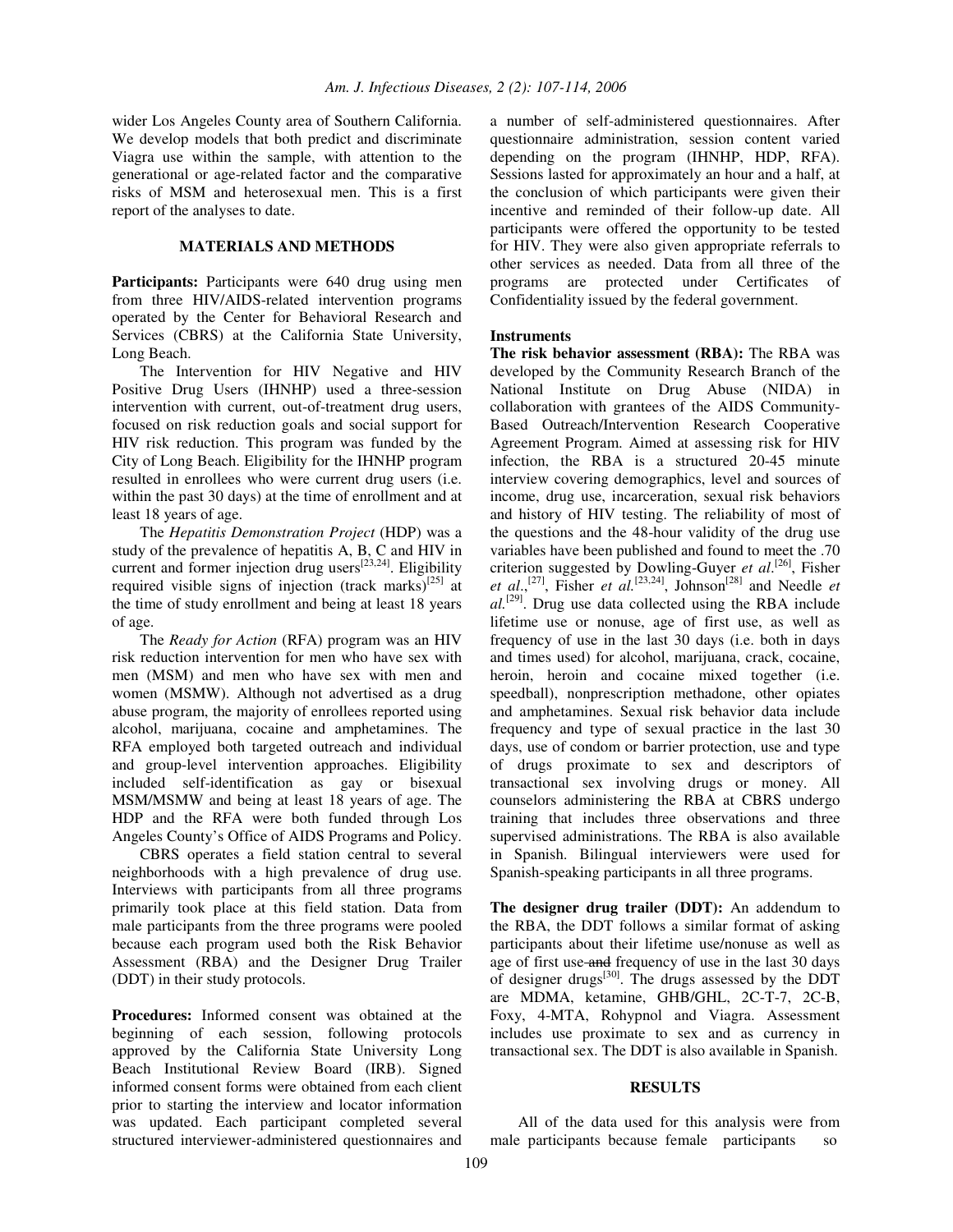wider Los Angeles County area of Southern California. We develop models that both predict and discriminate Viagra use within the sample, with attention to the generational or age-related factor and the comparative risks of MSM and heterosexual men. This is a first report of the analyses to date.

## **MATERIALS AND METHODS**

**Participants:** Participants were 640 drug using men from three HIV/AIDS-related intervention programs operated by the Center for Behavioral Research and Services (CBRS) at the California State University, Long Beach.

The Intervention for HIV Negative and HIV Positive Drug Users (IHNHP) used a three-session intervention with current, out-of-treatment drug users, focused on risk reduction goals and social support for HIV risk reduction. This program was funded by the City of Long Beach. Eligibility for the IHNHP program resulted in enrollees who were current drug users (i.e. within the past 30 days) at the time of enrollment and at least 18 years of age.

The *Hepatitis Demonstration Project* (HDP) was a study of the prevalence of hepatitis A, B, C and HIV in current and former injection drug users $^{[23,24]}$ . Eligibility required visible signs of injection (track marks)<sup>[25]</sup> at the time of study enrollment and being at least 18 years of age.

The *Ready for Action* (RFA) program was an HIV risk reduction intervention for men who have sex with men (MSM) and men who have sex with men and women (MSMW). Although not advertised as a drug abuse program, the majority of enrollees reported using alcohol, marijuana, cocaine and amphetamines. The RFA employed both targeted outreach and individual and group-level intervention approaches. Eligibility included self-identification as gay or bisexual MSM/MSMW and being at least 18 years of age. The HDP and the RFA were both funded through Los Angeles County's Office of AIDS Programs and Policy.

CBRS operates a field station central to several neighborhoods with a high prevalence of drug use. Interviews with participants from all three programs primarily took place at this field station. Data from male participants from the three programs were pooled because each program used both the Risk Behavior Assessment (RBA) and the Designer Drug Trailer (DDT) in their study protocols.

**Procedures:** Informed consent was obtained at the beginning of each session, following protocols approved by the California State University Long Beach Institutional Review Board (IRB). Signed informed consent forms were obtained from each client prior to starting the interview and locator information was updated. Each participant completed several structured interviewer-administered questionnaires and a number of self-administered questionnaires. After questionnaire administration, session content varied depending on the program (IHNHP, HDP, RFA). Sessions lasted for approximately an hour and a half, at the conclusion of which participants were given their incentive and reminded of their follow-up date. All participants were offered the opportunity to be tested for HIV. They were also given appropriate referrals to other services as needed. Data from all three of the programs are protected under Certificates of Confidentiality issued by the federal government.

### **Instruments**

**The risk behavior assessment (RBA):** The RBA was developed by the Community Research Branch of the National Institute on Drug Abuse (NIDA) in collaboration with grantees of the AIDS Community-Based Outreach/Intervention Research Cooperative Agreement Program. Aimed at assessing risk for HIV infection, the RBA is a structured 20-45 minute interview covering demographics, level and sources of income, drug use, incarceration, sexual risk behaviors and history of HIV testing. The reliability of most of the questions and the 48-hour validity of the drug use variables have been published and found to meet the .70 criterion suggested by Dowling-Guyer *et al*. [26] , Fisher *et*  $al$ , <sup>[27]</sup>, Fisher *et*  $al$ <sup>[23,24]</sup>, Johnson<sup>[28]</sup> and Needle *et al.* [29] . Drug use data collected using the RBA include lifetime use or nonuse, age of first use, as well as frequency of use in the last 30 days (i.e. both in days and times used) for alcohol, marijuana, crack, cocaine, heroin, heroin and cocaine mixed together (i.e. speedball), nonprescription methadone, other opiates and amphetamines. Sexual risk behavior data include frequency and type of sexual practice in the last 30 days, use of condom or barrier protection, use and type of drugs proximate to sex and descriptors of transactional sex involving drugs or money. All counselors administering the RBA at CBRS undergo training that includes three observations and three supervised administrations. The RBA is also available in Spanish. Bilingual interviewers were used for Spanish-speaking participants in all three programs.

**The designer drug trailer (DDT):** An addendum to the RBA, the DDT follows a similar format of asking participants about their lifetime use/nonuse as well as age of first use and frequency of use in the last 30 days of designer drugs<sup>[30]</sup>. The drugs assessed by the DDT are MDMA, ketamine, GHB/GHL, 2C-T-7, 2C-B, Foxy, 4-MTA, Rohypnol and Viagra. Assessment includes use proximate to sex and as currency in transactional sex. The DDT is also available in Spanish.

#### **RESULTS**

All of the data used for this analysis were from male participants because female participants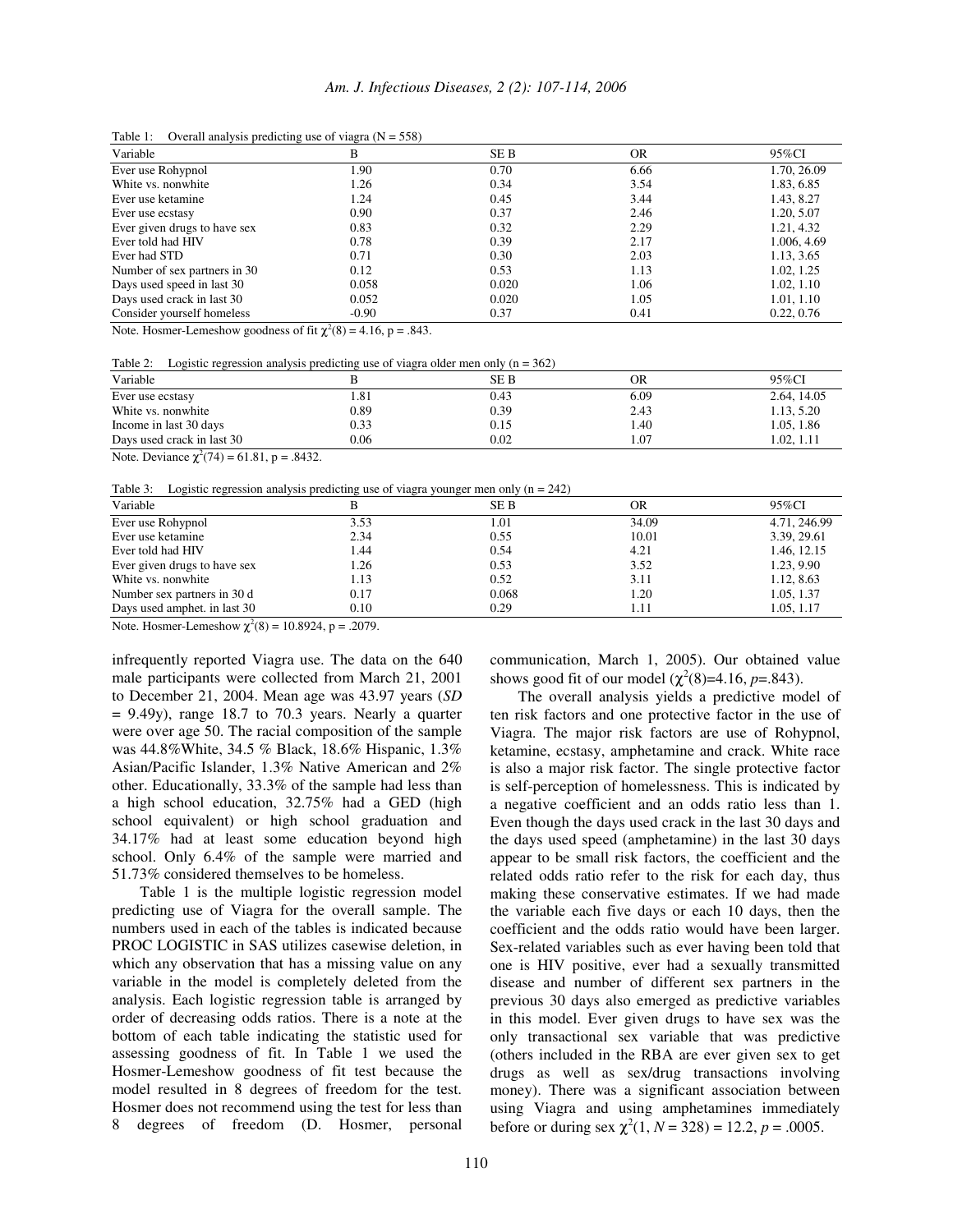| Variable                     | В       | SE B  | <b>OR</b> | 95%CI       |
|------------------------------|---------|-------|-----------|-------------|
| Ever use Rohypnol            | 1.90    | 0.70  | 6.66      | 1.70, 26.09 |
| White vs. nonwhite           | 1.26    | 0.34  | 3.54      | 1.83, 6.85  |
| Ever use ketamine            | 1.24    | 0.45  | 3.44      | 1.43, 8.27  |
| Ever use ecstasy             | 0.90    | 0.37  | 2.46      | 1.20, 5.07  |
| Ever given drugs to have sex | 0.83    | 0.32  | 2.29      | 1.21, 4.32  |
| Ever told had HIV            | 0.78    | 0.39  | 2.17      | 1.006, 4.69 |
| Ever had STD                 | 0.71    | 0.30  | 2.03      | 1.13, 3.65  |
| Number of sex partners in 30 | 0.12    | 0.53  | 1.13      | 1.02, 1.25  |
| Days used speed in last 30   | 0.058   | 0.020 | 1.06      | 1.02, 1.10  |
| Days used crack in last 30   | 0.052   | 0.020 | 1.05      | 1.01, 1.10  |
| Consider yourself homeless   | $-0.90$ | 0.37  | 0.41      | 0.22, 0.76  |

Table 1: Overall analysis predicting use of viagra  $(N = 558)$ 

Note. Hosmer-Lemeshow goodness of fit  $\chi^2(8) = 4.16$ , p = .843.

Table 2: Logistic regression analysis predicting use of viagra older men only  $(n = 362)$ 

| Variable                   |      | SE B | OR   | 95%CI       |
|----------------------------|------|------|------|-------------|
| Ever use ecstasy           | 1.81 | 0.43 | 6.09 | 2.64, 14.05 |
| White vs. nonwhite         | 0.89 | 0.39 | 2.43 | 1.13.5.20   |
| Income in last 30 days     | 0.33 | 0.15 | 1.40 | 1.05.1.86   |
| Days used crack in last 30 | 0.06 | 0.02 | 1.07 | 1.02.1.11   |

Note. Deviance  $\chi^2(74) = 61.81$ , p = .8432.

Table 3: Logistic regression analysis predicting use of viagra younger men only  $(n = 242)$ 

| Variable                     |      | <b>SEB</b> | OR    | 95%CI        |  |
|------------------------------|------|------------|-------|--------------|--|
| Ever use Rohypnol            | 3.53 | 1.01       | 34.09 | 4.71, 246.99 |  |
| Ever use ketamine            | 2.34 | 0.55       | 10.01 | 3.39, 29.61  |  |
| Ever told had HIV            | l.44 | 0.54       | 4.21  | 1.46, 12.15  |  |
| Ever given drugs to have sex | l.26 | 0.53       | 3.52  | 1.23, 9.90   |  |
| White vs. nonwhite           | 1.13 | 0.52       | 3.11  | 1.12, 8.63   |  |
| Number sex partners in 30 d  | 0.17 | 0.068      | 1.20  | 1.05, 1.37   |  |
| Days used amphet. in last 30 | 0.10 | 0.29       | 1.11  | 1.05, 1.17   |  |

Note. Hosmer-Lemeshow  $\chi^2(8) = 10.8924$ , p = .2079.

infrequently reported Viagra use. The data on the 640 male participants were collected from March 21, 2001 to December 21, 2004. Mean age was 43.97 years (*SD*  $= 9.49y$ , range 18.7 to 70.3 years. Nearly a quarter were over age 50. The racial composition of the sample was 44.8%White, 34.5 % Black, 18.6% Hispanic, 1.3% Asian/Pacific Islander, 1.3% Native American and 2% other. Educationally, 33.3% of the sample had less than a high school education, 32.75% had a GED (high school equivalent) or high school graduation and 34.17% had at least some education beyond high school. Only 6.4% of the sample were married and 51.73% considered themselves to be homeless.

Table 1 is the multiple logistic regression model predicting use of Viagra for the overall sample. The numbers used in each of the tables is indicated because PROC LOGISTIC in SAS utilizes casewise deletion, in which any observation that has a missing value on any variable in the model is completely deleted from the analysis. Each logistic regression table is arranged by order of decreasing odds ratios. There is a note at the bottom of each table indicating the statistic used for assessing goodness of fit. In Table 1 we used the Hosmer-Lemeshow goodness of fit test because the model resulted in 8 degrees of freedom for the test. Hosmer does not recommend using the test for less than 8 degrees of freedom (D. Hosmer, personal communication, March 1, 2005). Our obtained value shows good fit of our model  $(\chi^2(8)=4.16, p=.843)$ .

The overall analysis yields a predictive model of ten risk factors and one protective factor in the use of Viagra. The major risk factors are use of Rohypnol, ketamine, ecstasy, amphetamine and crack. White race is also a major risk factor. The single protective factor is self-perception of homelessness. This is indicated by a negative coefficient and an odds ratio less than 1. Even though the days used crack in the last 30 days and the days used speed (amphetamine) in the last 30 days appear to be small risk factors, the coefficient and the related odds ratio refer to the risk for each day, thus making these conservative estimates. If we had made the variable each five days or each 10 days, then the coefficient and the odds ratio would have been larger. Sex-related variables such as ever having been told that one is HIV positive, ever had a sexually transmitted disease and number of different sex partners in the previous 30 days also emerged as predictive variables in this model. Ever given drugs to have sex was the only transactional sex variable that was predictive (others included in the RBA are ever given sex to get drugs as well as sex/drug transactions involving money). There was a significant association between using Viagra and using amphetamines immediately before or during sex  $\chi^2(1, N = 328) = 12.2, p = .0005$ .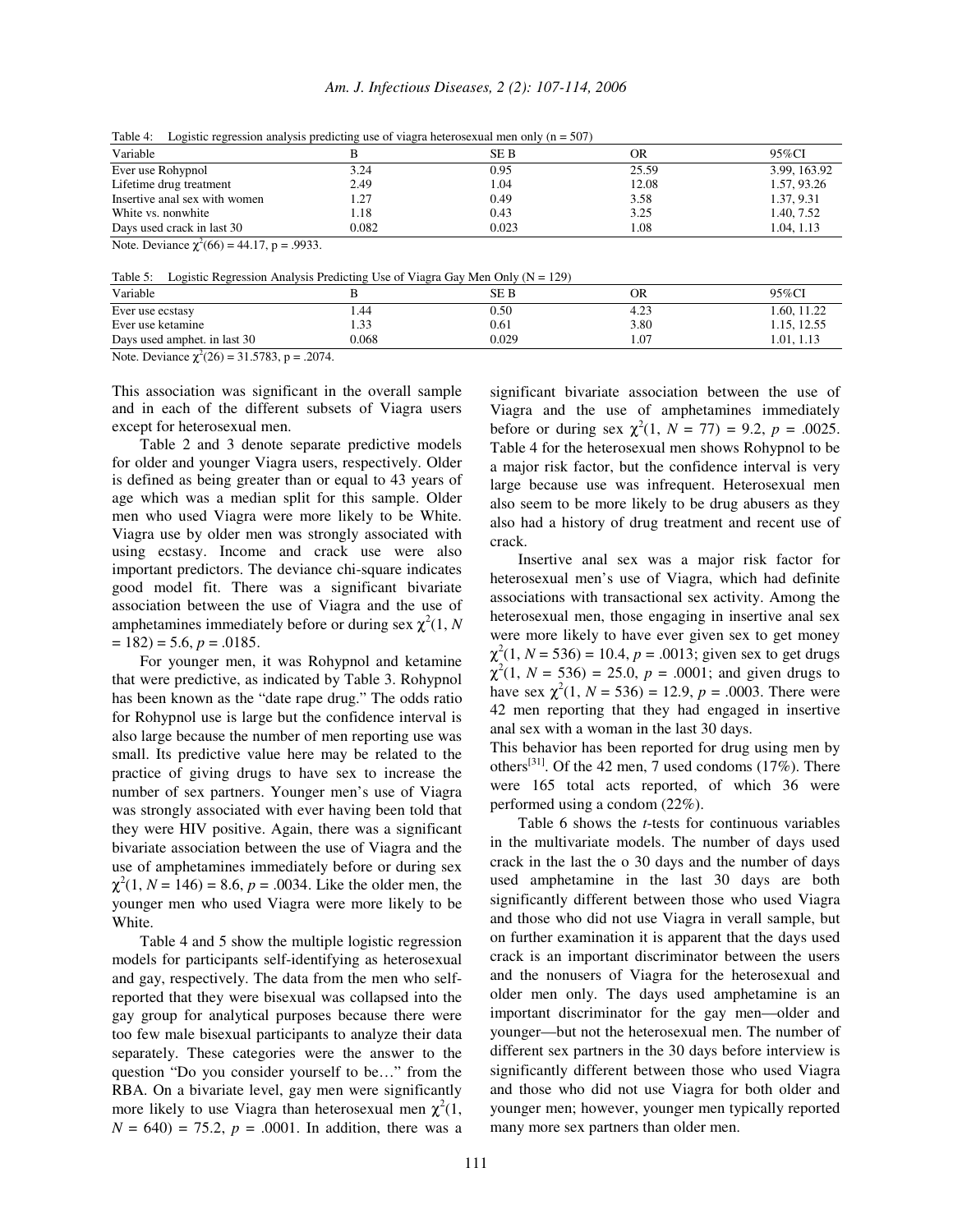*Am. J. Infectious Diseases, 2 (2): 107-114, 2006*

|  |  |  | Table 4: Logistic regression analysis predicting use of viagra heterosexual men only ( $n = 507$ ) |  |
|--|--|--|----------------------------------------------------------------------------------------------------|--|
|  |  |  |                                                                                                    |  |

| Variable                                                                                                                                                                                                                                                                                                                           |       | <b>SEB</b> | OR    | 95%CI        |
|------------------------------------------------------------------------------------------------------------------------------------------------------------------------------------------------------------------------------------------------------------------------------------------------------------------------------------|-------|------------|-------|--------------|
| Ever use Rohypnol                                                                                                                                                                                                                                                                                                                  | 3.24  | 0.95       | 25.59 | 3.99, 163.92 |
| Lifetime drug treatment                                                                                                                                                                                                                                                                                                            | 2.49  | 1.04       | 12.08 | 1.57, 93.26  |
| Insertive anal sex with women                                                                                                                                                                                                                                                                                                      | 1.27  | 0.49       | 3.58  | 1.37, 9.31   |
| White vs. nonwhite                                                                                                                                                                                                                                                                                                                 | 1.18  | 0.43       | 3.25  | 1.40, 7.52   |
| Davs used crack in last 30                                                                                                                                                                                                                                                                                                         | 0.082 | 0.023      | l.08  | 1.04.1.13    |
| $\mathbf{M}$ $\mathbf{D}$ $\mathbf{N}$ $\mathbf{N}$ $\mathbf{N}$ $\mathbf{N}$ $\mathbf{N}$ $\mathbf{N}$ $\mathbf{N}$ $\mathbf{N}$ $\mathbf{N}$ $\mathbf{N}$ $\mathbf{N}$ $\mathbf{N}$ $\mathbf{N}$ $\mathbf{N}$ $\mathbf{N}$ $\mathbf{N}$ $\mathbf{N}$ $\mathbf{N}$ $\mathbf{N}$ $\mathbf{N}$ $\mathbf{N}$ $\mathbf{N}$ $\mathbf{$ |       |            |       |              |

Note. Deviance  $\chi^2(66) = 44.17$ , p = .9933.

| Table 5: |  | Logistic Regression Analysis Predicting Use of Viagra Gay Men Only $(N = 129)$ |
|----------|--|--------------------------------------------------------------------------------|
|          |  |                                                                                |

| .                            |       |       |      |             |
|------------------------------|-------|-------|------|-------------|
| Variable                     |       | SE B  | OR   | 95%CI       |
| Ever use ecstasy             | .44   | 0.50  | 4.23 | 1.60, 11.22 |
| Ever use ketamine            | 1.33  | 0.61  | 3.80 | 1.15, 12.55 |
| Days used amphet, in last 30 | 0.068 | 0.029 | 1.07 | 1.01, 1.13  |
|                              |       |       |      |             |

Note. Deviance  $\chi^2(26) = 31.5783$ , p = .2074.

This association was significant in the overall sample and in each of the different subsets of Viagra users except for heterosexual men.

Table 2 and 3 denote separate predictive models for older and younger Viagra users, respectively. Older is defined as being greater than or equal to 43 years of age which was a median split for this sample. Older men who used Viagra were more likely to be White. Viagra use by older men was strongly associated with using ecstasy. Income and crack use were also important predictors. The deviance chi-square indicates good model fit. There was a significant bivariate association between the use of Viagra and the use of amphetamines immediately before or during sex  $\chi^2(1, N)$  $= 182$ ) = 5.6, *p* = .0185.

For younger men, it was Rohypnol and ketamine that were predictive, as indicated by Table 3. Rohypnol has been known as the "date rape drug." The odds ratio for Rohypnol use is large but the confidence interval is also large because the number of men reporting use was small. Its predictive value here may be related to the practice of giving drugs to have sex to increase the number of sex partners. Younger men's use of Viagra was strongly associated with ever having been told that they were HIV positive. Again, there was a significant bivariate association between the use of Viagra and the use of amphetamines immediately before or during sex  $\chi^2(1, N = 146) = 8.6, p = .0034$ . Like the older men, the younger men who used Viagra were more likely to be White.

Table 4 and 5 show the multiple logistic regression models for participants self-identifying as heterosexual and gay, respectively. The data from the men who selfreported that they were bisexual was collapsed into the gay group for analytical purposes because there were too few male bisexual participants to analyze their data separately. These categories were the answer to the question "Do you consider yourself to be…" from the RBA. On a bivariate level, gay men were significantly more likely to use Viagra than heterosexual men  $\chi^2(1)$ ,  $N = 640$  = 75.2,  $p = .0001$ . In addition, there was a significant bivariate association between the use of Viagra and the use of amphetamines immediately before or during sex  $\chi^2(1, N = 77) = 9.2, p = .0025$ . Table 4 for the heterosexual men shows Rohypnol to be a major risk factor, but the confidence interval is very large because use was infrequent. Heterosexual men also seem to be more likely to be drug abusers as they also had a history of drug treatment and recent use of crack.

Insertive anal sex was a major risk factor for heterosexual men's use of Viagra, which had definite associations with transactional sex activity. Among the heterosexual men, those engaging in insertive anal sex were more likely to have ever given sex to get money  $\chi^2(1, N = 536) = 10.4, p = .0013$ ; given sex to get drugs  $\chi^2(1, N = 536) = 25.0, p = .0001$ ; and given drugs to have sex  $\chi^2(1, N = 536) = 12.9$ ,  $p = .0003$ . There were 42 men reporting that they had engaged in insertive anal sex with a woman in the last 30 days.

This behavior has been reported for drug using men by others<sup>[31]</sup>. Of the 42 men, 7 used condoms  $(17\%)$ . There were 165 total acts reported, of which 36 were performed using a condom (22%).

Table 6 shows the *t*-tests for continuous variables in the multivariate models. The number of days used crack in the last the o 30 days and the number of days used amphetamine in the last 30 days are both significantly different between those who used Viagra and those who did not use Viagra in verall sample, but on further examination it is apparent that the days used crack is an important discriminator between the users and the nonusers of Viagra for the heterosexual and older men only. The days used amphetamine is an important discriminator for the gay men—older and younger—but not the heterosexual men. The number of different sex partners in the 30 days before interview is significantly different between those who used Viagra and those who did not use Viagra for both older and younger men; however, younger men typically reported many more sex partners than older men.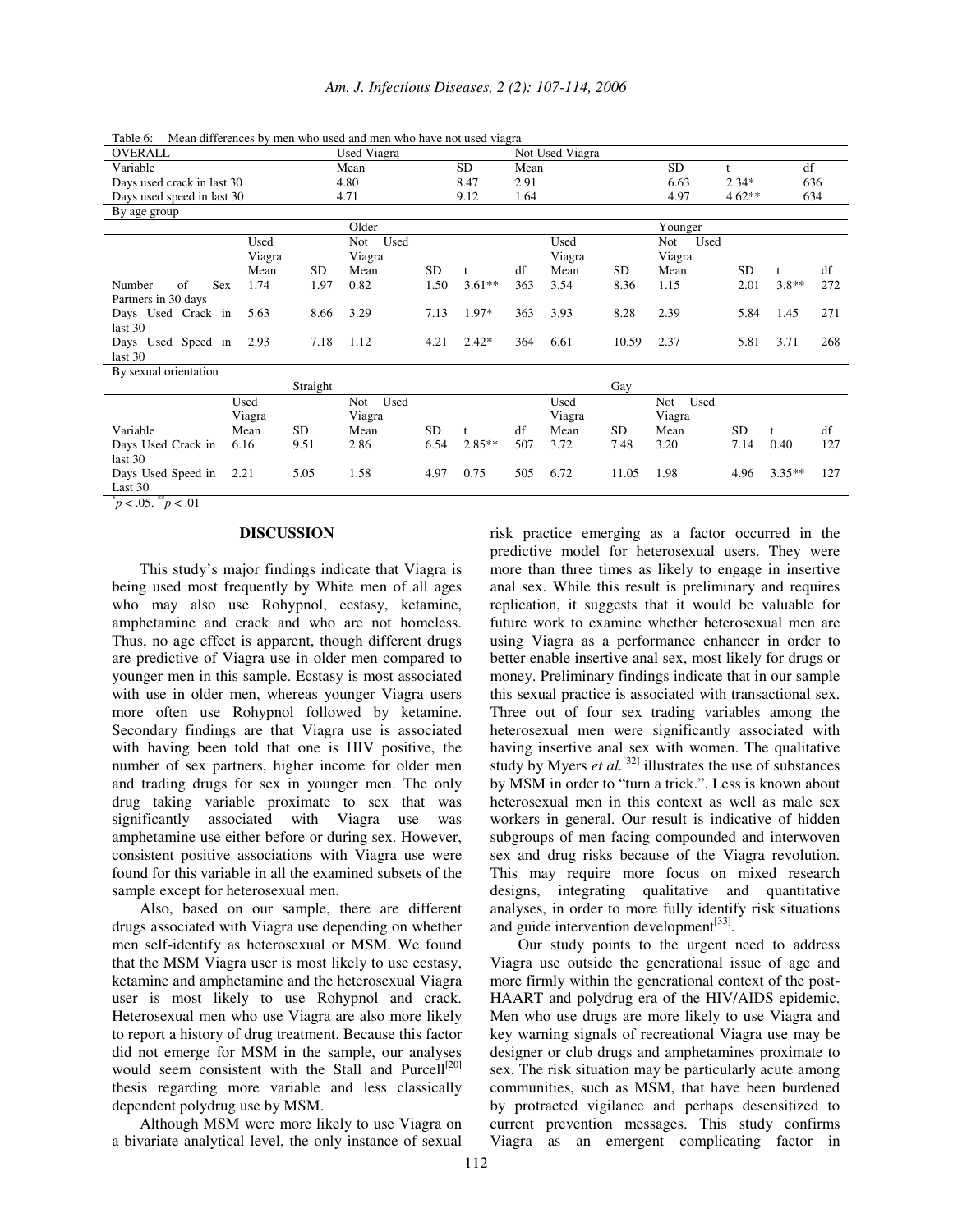| OVERALL                    |        |          | mean anterences of men who ased and men who have not ased viague<br>Used Viagra |           |           |      | Not Used Viagra |           |             |              |           |     |
|----------------------------|--------|----------|---------------------------------------------------------------------------------|-----------|-----------|------|-----------------|-----------|-------------|--------------|-----------|-----|
| Variable                   |        |          | Mean                                                                            |           | <b>SD</b> | Mean |                 |           | <b>SD</b>   | $\mathbf{t}$ | df        |     |
| Days used crack in last 30 |        |          | 4.80                                                                            |           | 8.47      | 2.91 |                 |           | 6.63        | $2.34*$      |           | 636 |
| Days used speed in last 30 |        |          | 4.71                                                                            |           | 9.12      | 1.64 |                 |           | 4.97        | $4.62**$     |           | 634 |
| By age group               |        |          |                                                                                 |           |           |      |                 |           |             |              |           |     |
|                            |        |          | Older                                                                           |           |           |      |                 |           | Younger     |              |           |     |
|                            | Used   |          | Not Used                                                                        |           |           |      | Used            |           | Used<br>Not |              |           |     |
|                            | Viagra |          | Viagra                                                                          |           |           |      | Viagra          |           | Viagra      |              |           |     |
|                            | Mean   | SD       | Mean                                                                            | <b>SD</b> |           | df   | Mean            | SD.       | Mean        | SD.          | t         | df  |
| <b>Sex</b><br>Number<br>of | 1.74   | 1.97     | 0.82                                                                            | 1.50      | $3.61**$  | 363  | 3.54            | 8.36      | 1.15        | 2.01         | $3.8**$   | 272 |
| Partners in 30 days        |        |          |                                                                                 |           |           |      |                 |           |             |              |           |     |
| Days Used Crack in         | 5.63   | 8.66     | 3.29                                                                            | 7.13      | 1.97*     | 363  | 3.93            | 8.28      | 2.39        | 5.84         | 1.45      | 271 |
| last 30                    |        |          |                                                                                 |           |           |      |                 |           |             |              |           |     |
| Days Used Speed in         | 2.93   | 7.18     | 1.12                                                                            | 4.21      | $2.42*$   | 364  | 6.61            | 10.59     | 2.37        | 5.81         | 3.71      | 268 |
| last 30                    |        |          |                                                                                 |           |           |      |                 |           |             |              |           |     |
| By sexual orientation      |        |          |                                                                                 |           |           |      |                 |           |             |              |           |     |
|                            |        | Straight |                                                                                 |           |           |      |                 | Gay       |             |              |           |     |
|                            | Used   |          | Used<br>Not                                                                     |           |           |      | Used            |           | Used<br>Not |              |           |     |
|                            | Viagra |          | Viagra                                                                          |           |           |      | Viagra          |           | Viagra      |              |           |     |
| Variable                   | Mean   | SD.      | Mean                                                                            | <b>SD</b> | t         | df   | Mean            | <b>SD</b> | Mean        | <b>SD</b>    |           | df  |
| Days Used Crack in         | 6.16   | 9.51     | 2.86                                                                            | 6.54      | $2.85***$ | 507  | 3.72            | 7.48      | 3.20        | 7.14         | 0.40      | 127 |
| last 30                    |        |          |                                                                                 |           |           |      |                 |           |             |              |           |     |
| Days Used Speed in         | 2.21   | 5.05     | 1.58                                                                            | 4.97      | 0.75      | 505  | 6.72            | 11.05     | 1.98        | 4.96         | $3.35***$ | 127 |
| Last 30                    |        |          |                                                                                 |           |           |      |                 |           |             |              |           |     |

Table 6: Mean differences by men who used and men who have not used viagra

 $p < .05.$   $\degree p < .01$ 

#### **DISCUSSION**

This study's major findings indicate that Viagra is being used most frequently by White men of all ages who may also use Rohypnol, ecstasy, ketamine, amphetamine and crack and who are not homeless. Thus, no age effect is apparent, though different drugs are predictive of Viagra use in older men compared to younger men in this sample. Ecstasy is most associated with use in older men, whereas younger Viagra users more often use Rohypnol followed by ketamine. Secondary findings are that Viagra use is associated with having been told that one is HIV positive, the number of sex partners, higher income for older men and trading drugs for sex in younger men. The only drug taking variable proximate to sex that was significantly associated with Viagra use was amphetamine use either before or during sex. However, consistent positive associations with Viagra use were found for this variable in all the examined subsets of the sample except for heterosexual men.

Also, based on our sample, there are different drugs associated with Viagra use depending on whether men self-identify as heterosexual or MSM. We found that the MSM Viagra user is most likely to use ecstasy, ketamine and amphetamine and the heterosexual Viagra user is most likely to use Rohypnol and crack. Heterosexual men who use Viagra are also more likely to report a history of drug treatment. Because this factor did not emerge for MSM in the sample, our analyses would seem consistent with the Stall and Purcell<sup>[20]</sup> thesis regarding more variable and less classically dependent polydrug use by MSM.

Although MSM were more likely to use Viagra on a bivariate analytical level, the only instance of sexual risk practice emerging as a factor occurred in the predictive model for heterosexual users. They were more than three times as likely to engage in insertive anal sex. While this result is preliminary and requires replication, it suggests that it would be valuable for future work to examine whether heterosexual men are using Viagra as a performance enhancer in order to better enable insertive anal sex, most likely for drugs or money. Preliminary findings indicate that in our sample this sexual practice is associated with transactional sex. Three out of four sex trading variables among the heterosexual men were significantly associated with having insertive anal sex with women. The qualitative study by Myers *et al.*<sup>[32]</sup> illustrates the use of substances by MSM in order to "turn a trick.". Less is known about heterosexual men in this context as well as male sex workers in general. Our result is indicative of hidden subgroups of men facing compounded and interwoven sex and drug risks because of the Viagra revolution. This may require more focus on mixed research designs, integrating qualitative and quantitative analyses, in order to more fully identify risk situations and guide intervention development<sup>[33]</sup>.

Our study points to the urgent need to address Viagra use outside the generational issue of age and more firmly within the generational context of the post-HAART and polydrug era of the HIV/AIDS epidemic. Men who use drugs are more likely to use Viagra and key warning signals of recreational Viagra use may be designer or club drugs and amphetamines proximate to sex. The risk situation may be particularly acute among communities, such as MSM, that have been burdened by protracted vigilance and perhaps desensitized to current prevention messages. This study confirms Viagra as an emergent complicating factor in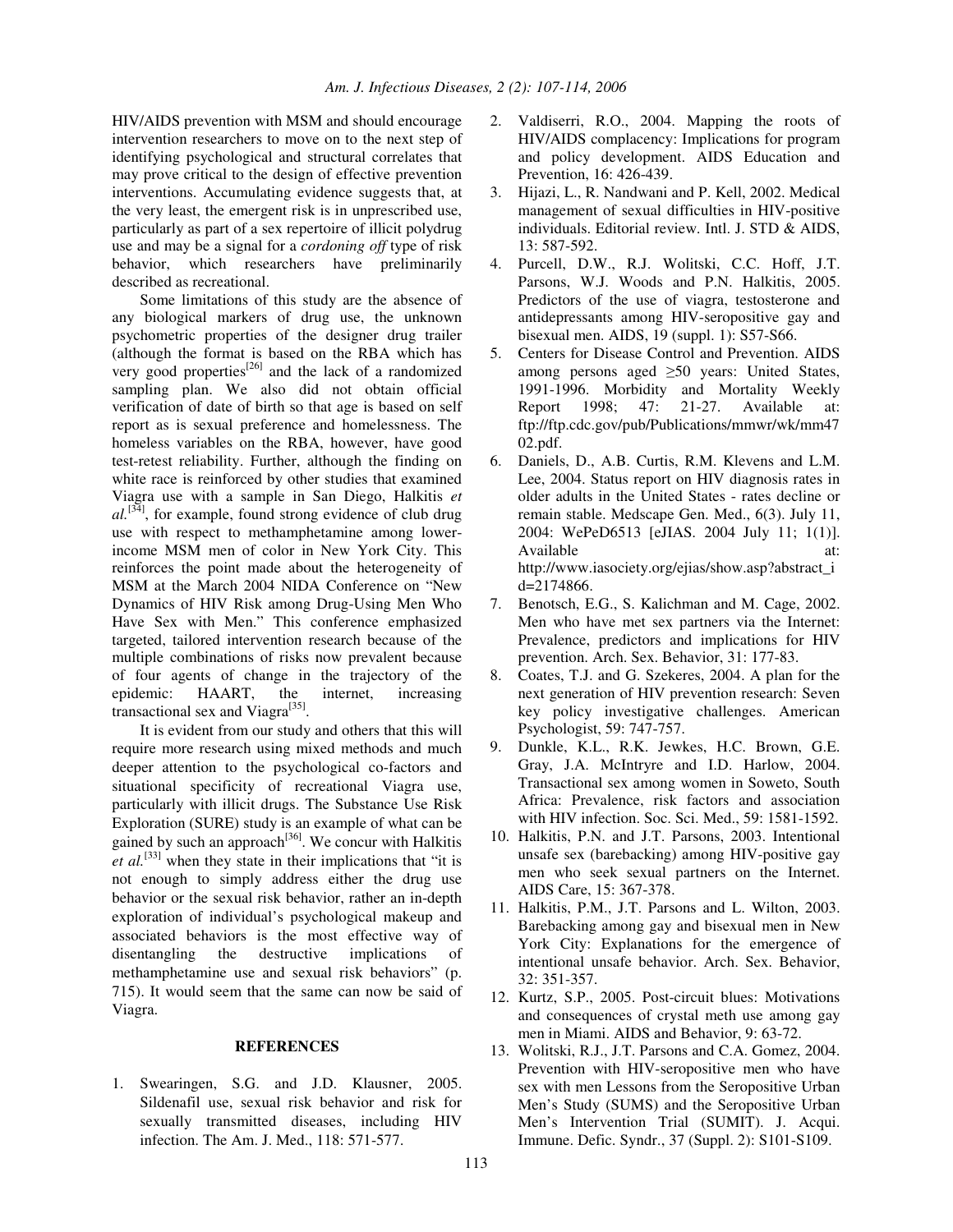HIV/AIDS prevention with MSM and should encourage intervention researchers to move on to the next step of identifying psychological and structural correlates that may prove critical to the design of effective prevention interventions. Accumulating evidence suggests that, at the very least, the emergent risk is in unprescribed use, particularly as part of a sex repertoire of illicit polydrug use and may be a signal for a *cordoning off* type of risk behavior, which researchers have preliminarily described as recreational.

Some limitations of this study are the absence of any biological markers of drug use, the unknown psychometric properties of the designer drug trailer (although the format is based on the RBA which has very good properties<sup>[26]</sup> and the lack of a randomized sampling plan. We also did not obtain official verification of date of birth so that age is based on self report as is sexual preference and homelessness. The homeless variables on the RBA, however, have good test-retest reliability. Further, although the finding on white race is reinforced by other studies that examined Viagra use with a sample in San Diego, Halkitis *et*  $al$ <sup>[34]</sup>, for example, found strong evidence of club drug use with respect to methamphetamine among lowerincome MSM men of color in New York City. This reinforces the point made about the heterogeneity of MSM at the March 2004 NIDA Conference on "New Dynamics of HIV Risk among Drug-Using Men Who Have Sex with Men." This conference emphasized targeted, tailored intervention research because of the multiple combinations of risks now prevalent because of four agents of change in the trajectory of the epidemic: HAART, the internet, increasing transactional sex and Viagra<sup>[35]</sup>.

It is evident from our study and others that this will require more research using mixed methods and much deeper attention to the psychological co-factors and situational specificity of recreational Viagra use, particularly with illicit drugs. The Substance Use Risk Exploration (SURE) study is an example of what can be gained by such an approach<sup>[36]</sup>. We concur with Halkitis *et al.* [33] when they state in their implications that "it is not enough to simply address either the drug use behavior or the sexual risk behavior, rather an in-depth exploration of individual's psychological makeup and associated behaviors is the most effective way of disentangling the destructive implications of methamphetamine use and sexual risk behaviors" (p. 715). It would seem that the same can now be said of Viagra.

#### **REFERENCES**

1. Swearingen, S.G. and J.D. Klausner, 2005. Sildenafil use, sexual risk behavior and risk for sexually transmitted diseases, including HIV infection. The Am. J. Med., 118: 571-577.

- 2. Valdiserri, R.O., 2004. Mapping the roots of HIV/AIDS complacency: Implications for program and policy development. AIDS Education and Prevention, 16: 426-439.
- 3. Hijazi, L., R. Nandwani and P. Kell, 2002. Medical management of sexual difficulties in HIV-positive individuals. Editorial review. Intl. J. STD & AIDS, 13: 587-592.
- 4. Purcell, D.W., R.J. Wolitski, C.C. Hoff, J.T. Parsons, W.J. Woods and P.N. Halkitis, 2005. Predictors of the use of viagra, testosterone and antidepressants among HIV-seropositive gay and bisexual men. AIDS, 19 (suppl. 1): S57-S66.
- 5. Centers for Disease Control and Prevention. AIDS among persons aged  $\geq 50$  years: United States, 1991-1996. Morbidity and Mortality Weekly Report 1998; 47: 21-27. Available at: ftp://ftp.cdc.gov/pub/Publications/mmwr/wk/mm47 02.pdf.
- 6. Daniels, D., A.B. Curtis, R.M. Klevens and L.M. Lee, 2004. Status report on HIV diagnosis rates in older adults in the United States - rates decline or remain stable. Medscape Gen. Med., 6(3). July 11, 2004: WePeD6513 [eJIAS. 2004 July 11; 1(1)]. Available at: at: http://www.iasociety.org/ejias/show.asp?abstract\_i d=2174866.
- 7. Benotsch, E.G., S. Kalichman and M. Cage, 2002. Men who have met sex partners via the Internet: Prevalence, predictors and implications for HIV prevention. Arch. Sex. Behavior, 31: 177-83.
- 8. Coates, T.J. and G. Szekeres, 2004. A plan for the next generation of HIV prevention research: Seven key policy investigative challenges. American Psychologist, 59: 747-757.
- 9. Dunkle, K.L., R.K. Jewkes, H.C. Brown, G.E. Gray, J.A. McIntryre and I.D. Harlow, 2004. Transactional sex among women in Soweto, South Africa: Prevalence, risk factors and association with HIV infection. Soc. Sci. Med., 59: 1581-1592.
- 10. Halkitis, P.N. and J.T. Parsons, 2003. Intentional unsafe sex (barebacking) among HIV-positive gay men who seek sexual partners on the Internet. AIDS Care, 15: 367-378.
- 11. Halkitis, P.M., J.T. Parsons and L. Wilton, 2003. Barebacking among gay and bisexual men in New York City: Explanations for the emergence of intentional unsafe behavior. Arch. Sex. Behavior, 32: 351-357.
- 12. Kurtz, S.P., 2005. Post-circuit blues: Motivations and consequences of crystal meth use among gay men in Miami. AIDS and Behavior, 9: 63-72.
- 13. Wolitski, R.J., J.T. Parsons and C.A. Gomez, 2004. Prevention with HIV-seropositive men who have sex with men Lessons from the Seropositive Urban Men's Study (SUMS) and the Seropositive Urban Men's Intervention Trial (SUMIT). J. Acqui. Immune. Defic. Syndr., 37 (Suppl. 2): S101-S109.